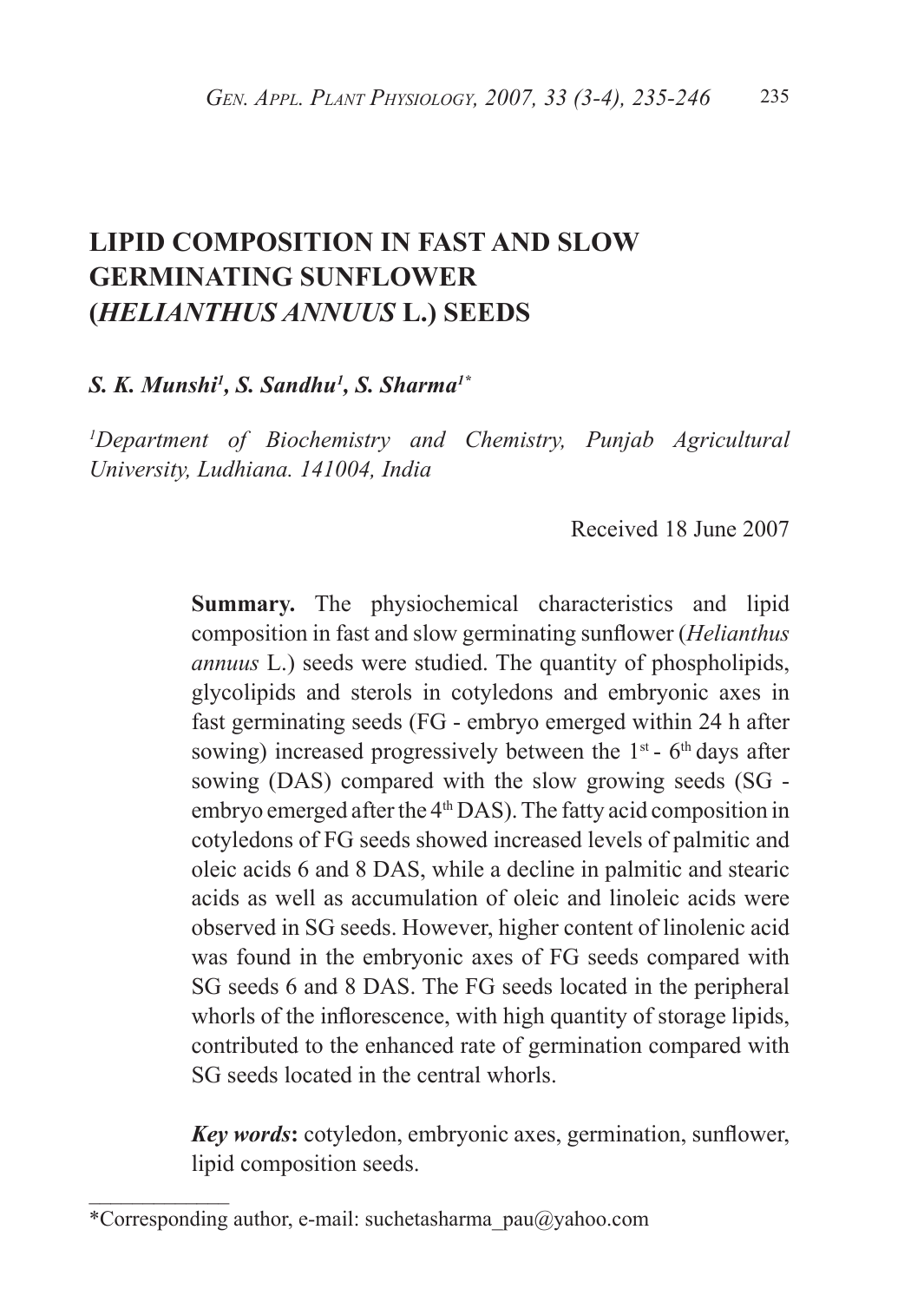# **LIPID COMPOSITION IN FAST AND SLOW GERMINATING SUNFLOWER (***HELIANTHUS ANNUUS* **L.) SEEDS**

*S. K. Munshi1 , S. Sandhu1 , S. Sharma1\** 

*1 Department of Biochemistry and Chemistry, Punjab Agricultural University, Ludhiana. 141004, India*

Received 18 June 2007

**Summary.** The physiochemical characteristics and lipid composition in fast and slow germinating sunflower (*Helianthus annuus* L.) seeds were studied. The quantity of phospholipids, glycolipids and sterols in cotyledons and embryonic axes in fast germinating seeds (FG - embryo emerged within 24 h after sowing) increased progressively between the  $1<sup>st</sup>$  -  $6<sup>th</sup>$  days after sowing (DAS) compared with the slow growing seeds (SG embryo emerged after the 4<sup>th</sup> DAS). The fatty acid composition in cotyledons of FG seeds showed increased levels of palmitic and oleic acids 6 and 8 DAS, while a decline in palmitic and stearic acids as well as accumulation of oleic and linoleic acids were observed in SG seeds. However, higher content of linolenic acid was found in the embryonic axes of FG seeds compared with SG seeds 6 and 8 DAS. The FG seeds located in the peripheral whorls of the inflorescence, with high quantity of storage lipids, contributed to the enhanced rate of germination compared with SG seeds located in the central whorls.

*Key words***:** cotyledon, embryonic axes, germination, sunflower, lipid composition seeds.

 $\frac{1}{2}$ 

<sup>\*</sup>Corresponding author, e-mail: suchetasharma\_pau@yahoo.com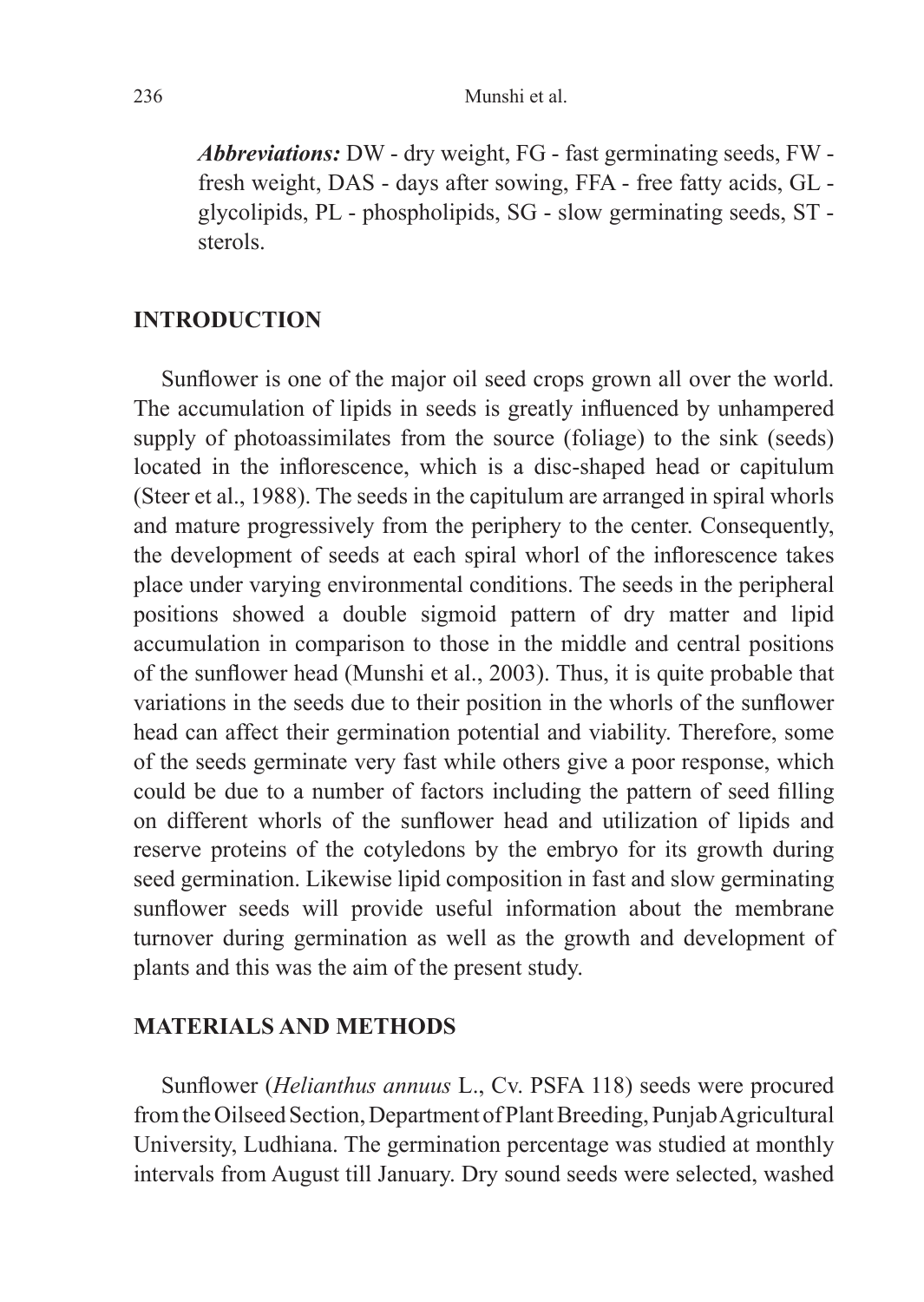*Abbreviations:* DW - dry weight, FG - fast germinating seeds, FW fresh weight, DAS - days after sowing, FFA - free fatty acids, GL glycolipids, PL - phospholipids, SG - slow germinating seeds, ST sterols.

### **INTRODUCTION**

Sunflower is one of the major oil seed crops grown all over the world. The accumulation of lipids in seeds is greatly influenced by unhampered supply of photoassimilates from the source (foliage) to the sink (seeds) located in the inflorescence, which is a disc-shaped head or capitulum (Steer et al., 1988). The seeds in the capitulum are arranged in spiral whorls and mature progressively from the periphery to the center. Consequently, the development of seeds at each spiral whorl of the inflorescence takes place under varying environmental conditions. The seeds in the peripheral positions showed a double sigmoid pattern of dry matter and lipid accumulation in comparison to those in the middle and central positions of the sunflower head (Munshi et al., 2003). Thus, it is quite probable that variations in the seeds due to their position in the whorls of the sunflower head can affect their germination potential and viability. Therefore, some of the seeds germinate very fast while others give a poor response, which could be due to a number of factors including the pattern of seed filling on different whorls of the sunflower head and utilization of lipids and reserve proteins of the cotyledons by the embryo for its growth during seed germination. Likewise lipid composition in fast and slow germinating sunflower seeds will provide useful information about the membrane turnover during germination as well as the growth and development of plants and this was the aim of the present study.

#### **MATERIALS AND METHODS**

Sunflower (*Helianthus annuus* L., Cv. PSFA 118) seeds were procured from the Oilseed Section, Department of Plant Breeding, Punjab Agricultural University, Ludhiana. The germination percentage was studied at monthly intervals from August till January. Dry sound seeds were selected, washed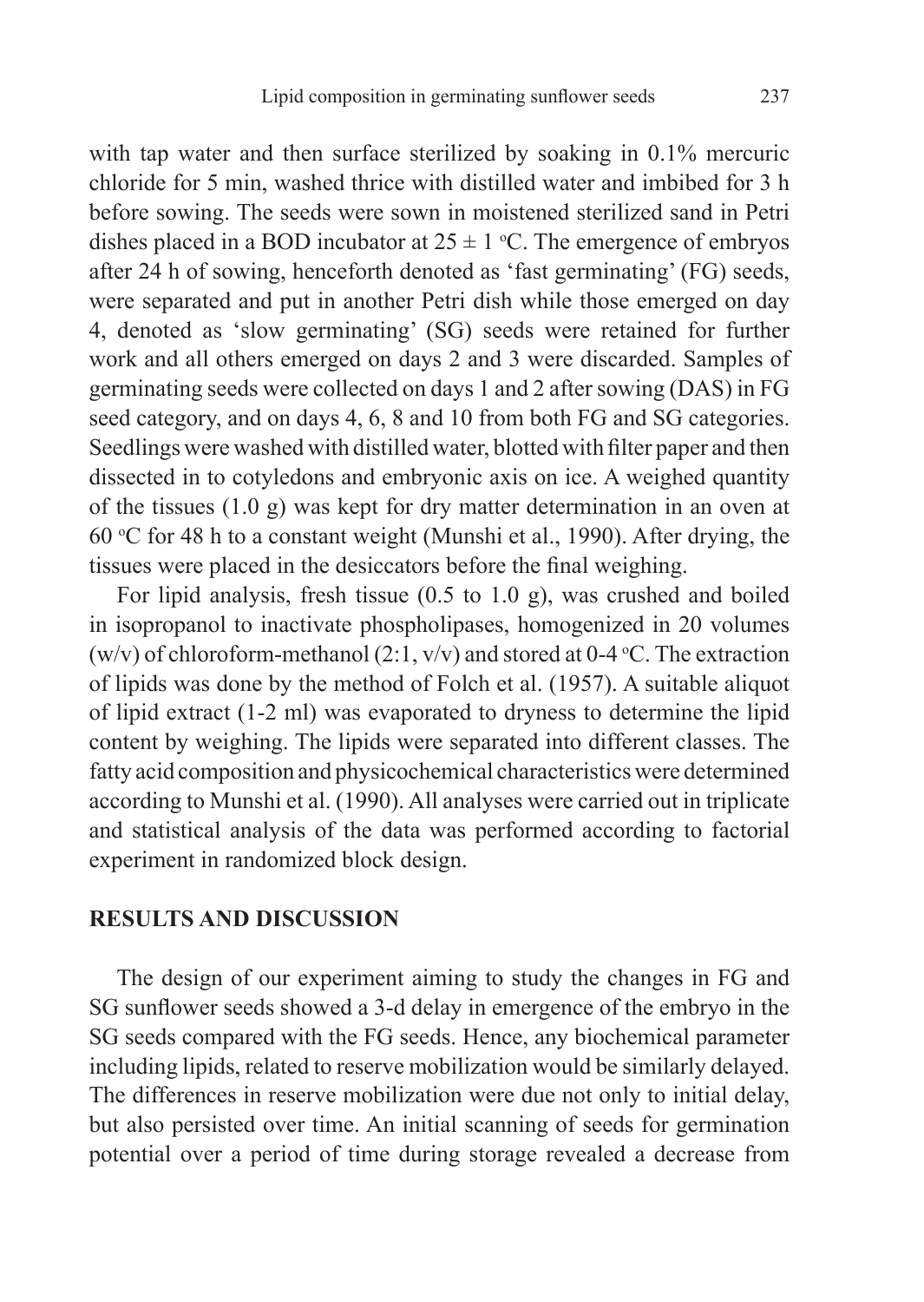with tap water and then surface sterilized by soaking in 0.1% mercuric chloride for 5 min, washed thrice with distilled water and imbibed for 3 h before sowing. The seeds were sown in moistened sterilized sand in Petri dishes placed in a BOD incubator at  $25 \pm 1$  °C. The emergence of embryos after 24 h of sowing, henceforth denoted as 'fast germinating' (FG) seeds, were separated and put in another Petri dish while those emerged on day 4, denoted as 'slow germinating' (SG) seeds were retained for further work and all others emerged on days 2 and 3 were discarded. Samples of germinating seeds were collected on days 1 and 2 after sowing (DAS) in FG seed category, and on days 4, 6, 8 and 10 from both FG and SG categories. Seedlings were washed with distilled water, blotted with filter paper and then dissected in to cotyledons and embryonic axis on ice. A weighed quantity of the tissues (1.0 g) was kept for dry matter determination in an oven at 60 °C for 48 h to a constant weight (Munshi et al., 1990). After drying, the tissues were placed in the desiccators before the final weighing.

For lipid analysis, fresh tissue (0.5 to 1.0 g), was crushed and boiled in isopropanol to inactivate phospholipases, homogenized in 20 volumes (w/v) of chloroform-methanol (2:1, v/v) and stored at 0-4 °C. The extraction of lipids was done by the method of Folch et al. (1957). A suitable aliquot of lipid extract (1-2 ml) was evaporated to dryness to determine the lipid content by weighing. The lipids were separated into different classes. The fatty acid composition and physicochemical characteristics were determined according to Munshi et al. (1990). All analyses were carried out in triplicate and statistical analysis of the data was performed according to factorial experiment in randomized block design.

#### **RESULTS AND DISCUSSION**

The design of our experiment aiming to study the changes in FG and SG sunflower seeds showed a 3-d delay in emergence of the embryo in the SG seeds compared with the FG seeds. Hence, any biochemical parameter including lipids, related to reserve mobilization would be similarly delayed. The differences in reserve mobilization were due not only to initial delay, but also persisted over time. An initial scanning of seeds for germination potential over a period of time during storage revealed a decrease from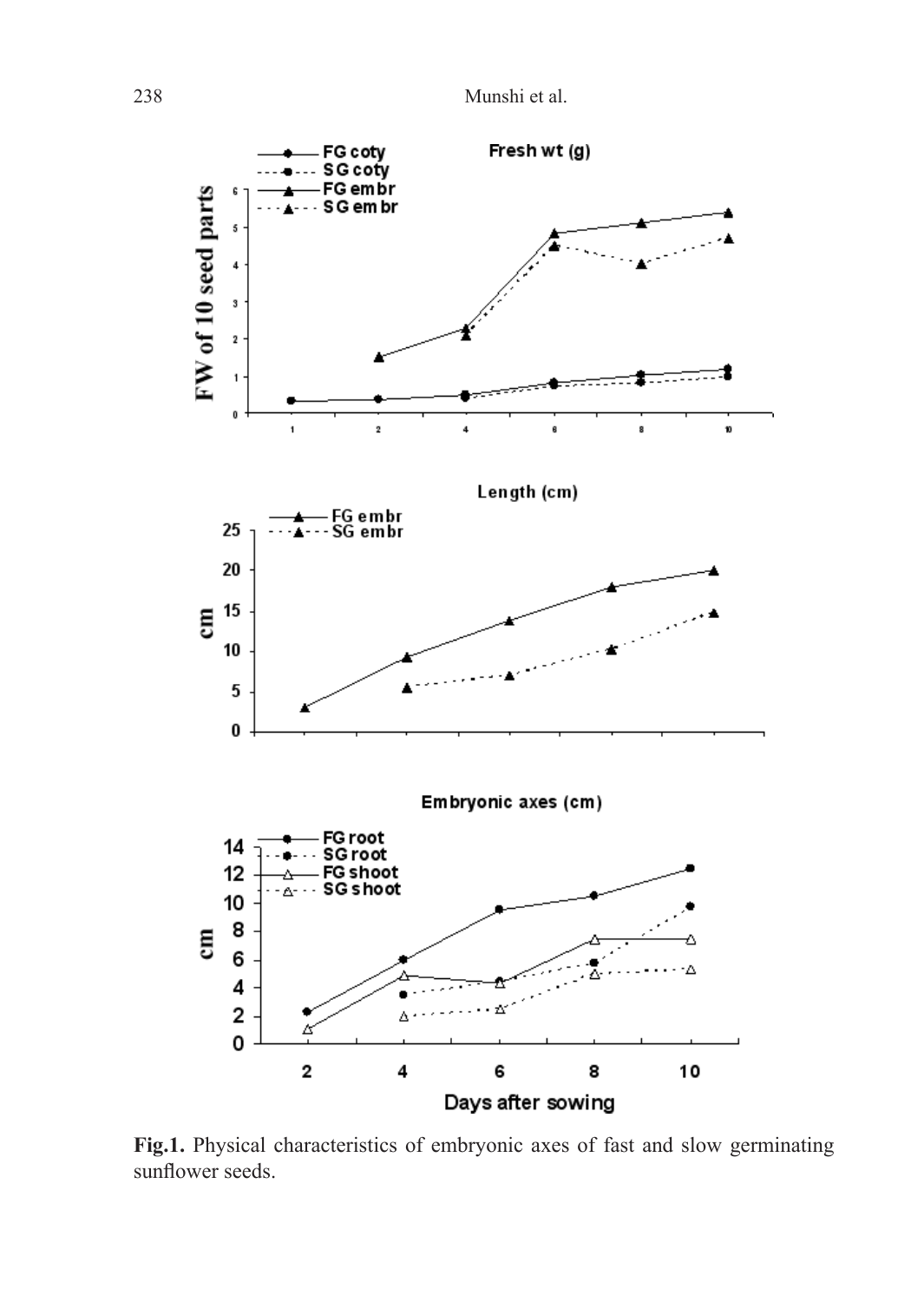238 Munshi et al.



**Fig.1.** Physical characteristics of embryonic axes of fast and slow germinating sunflower seeds.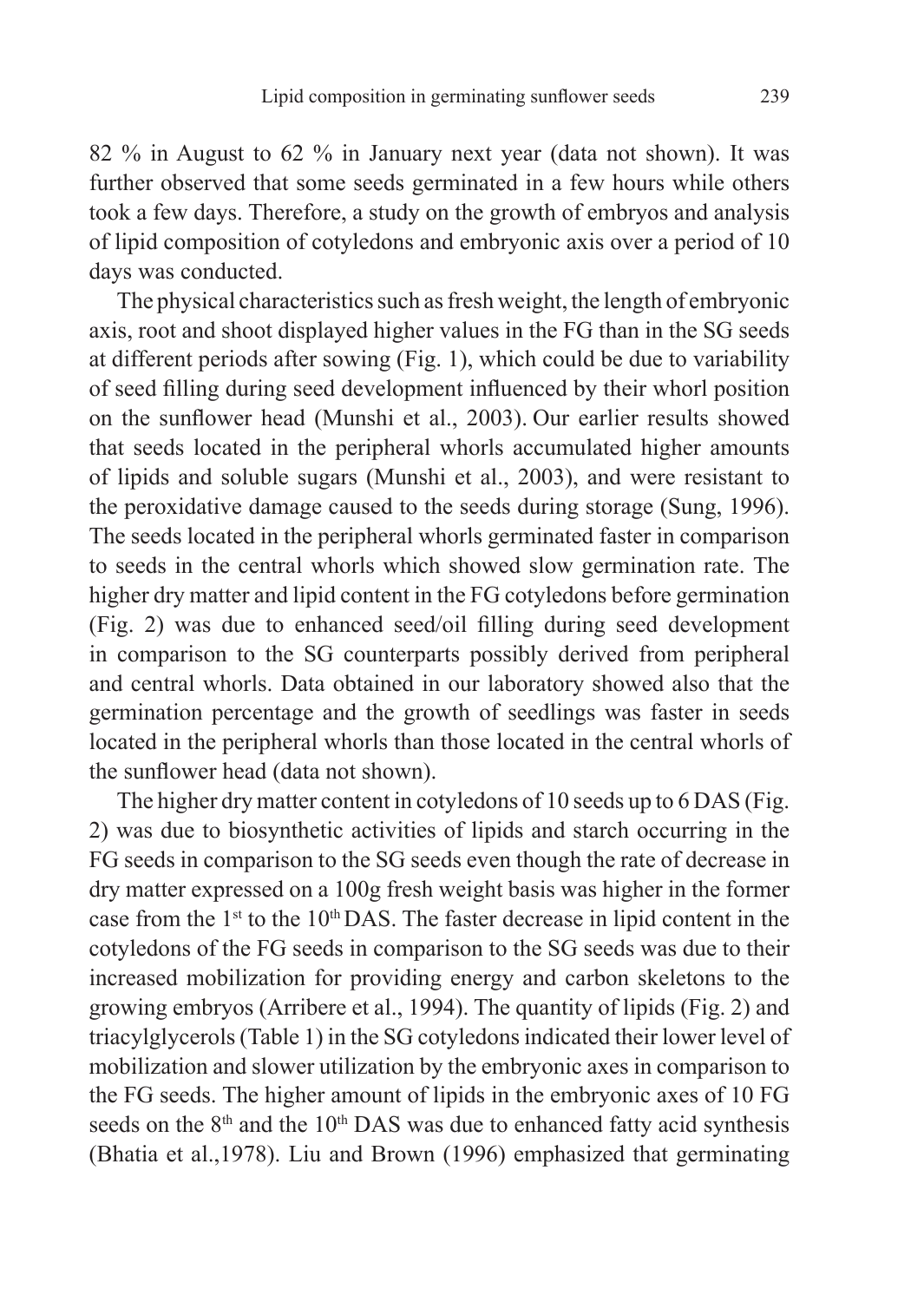82 % in August to 62 % in January next year (data not shown). It was further observed that some seeds germinated in a few hours while others took a few days. Therefore, a study on the growth of embryos and analysis of lipid composition of cotyledons and embryonic axis over a period of 10 days was conducted.

The physical characteristics such as fresh weight, the length of embryonic axis, root and shoot displayed higher values in the FG than in the SG seeds at different periods after sowing (Fig. 1), which could be due to variability of seed filling during seed development influenced by their whorl position on the sunflower head (Munshi et al., 2003). Our earlier results showed that seeds located in the peripheral whorls accumulated higher amounts of lipids and soluble sugars (Munshi et al., 2003), and were resistant to the peroxidative damage caused to the seeds during storage (Sung, 1996). The seeds located in the peripheral whorls germinated faster in comparison to seeds in the central whorls which showed slow germination rate. The higher dry matter and lipid content in the FG cotyledons before germination (Fig. 2) was due to enhanced seed/oil filling during seed development in comparison to the SG counterparts possibly derived from peripheral and central whorls. Data obtained in our laboratory showed also that the germination percentage and the growth of seedlings was faster in seeds located in the peripheral whorls than those located in the central whorls of the sunflower head (data not shown).

The higher dry matter content in cotyledons of 10 seeds up to 6 DAS (Fig. 2) was due to biosynthetic activities of lipids and starch occurring in the FG seeds in comparison to the SG seeds even though the rate of decrease in dry matter expressed on a 100g fresh weight basis was higher in the former case from the 1<sup>st</sup> to the 10<sup>th</sup> DAS. The faster decrease in lipid content in the cotyledons of the FG seeds in comparison to the SG seeds was due to their increased mobilization for providing energy and carbon skeletons to the growing embryos (Arribere et al., 1994). The quantity of lipids (Fig. 2) and triacylglycerols (Table 1) in the SG cotyledons indicated their lower level of mobilization and slower utilization by the embryonic axes in comparison to the FG seeds. The higher amount of lipids in the embryonic axes of 10 FG seeds on the  $8<sup>th</sup>$  and the 10<sup>th</sup> DAS was due to enhanced fatty acid synthesis (Bhatia et al.,1978). Liu and Brown (1996) emphasized that germinating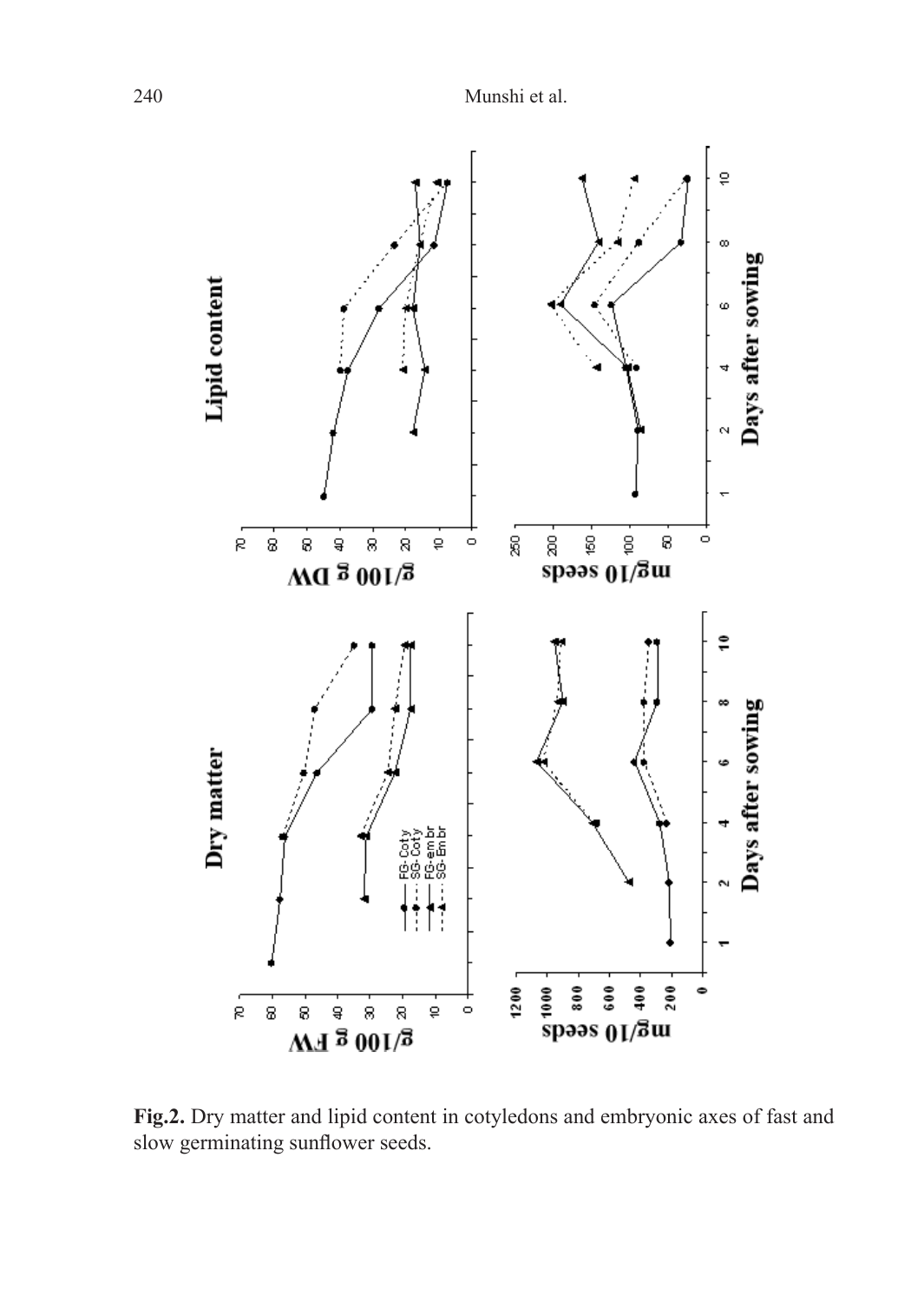

**Fig.2.** Dry matter and lipid content in cotyledons and embryonic axes of fast and slow germinating sunflower seeds.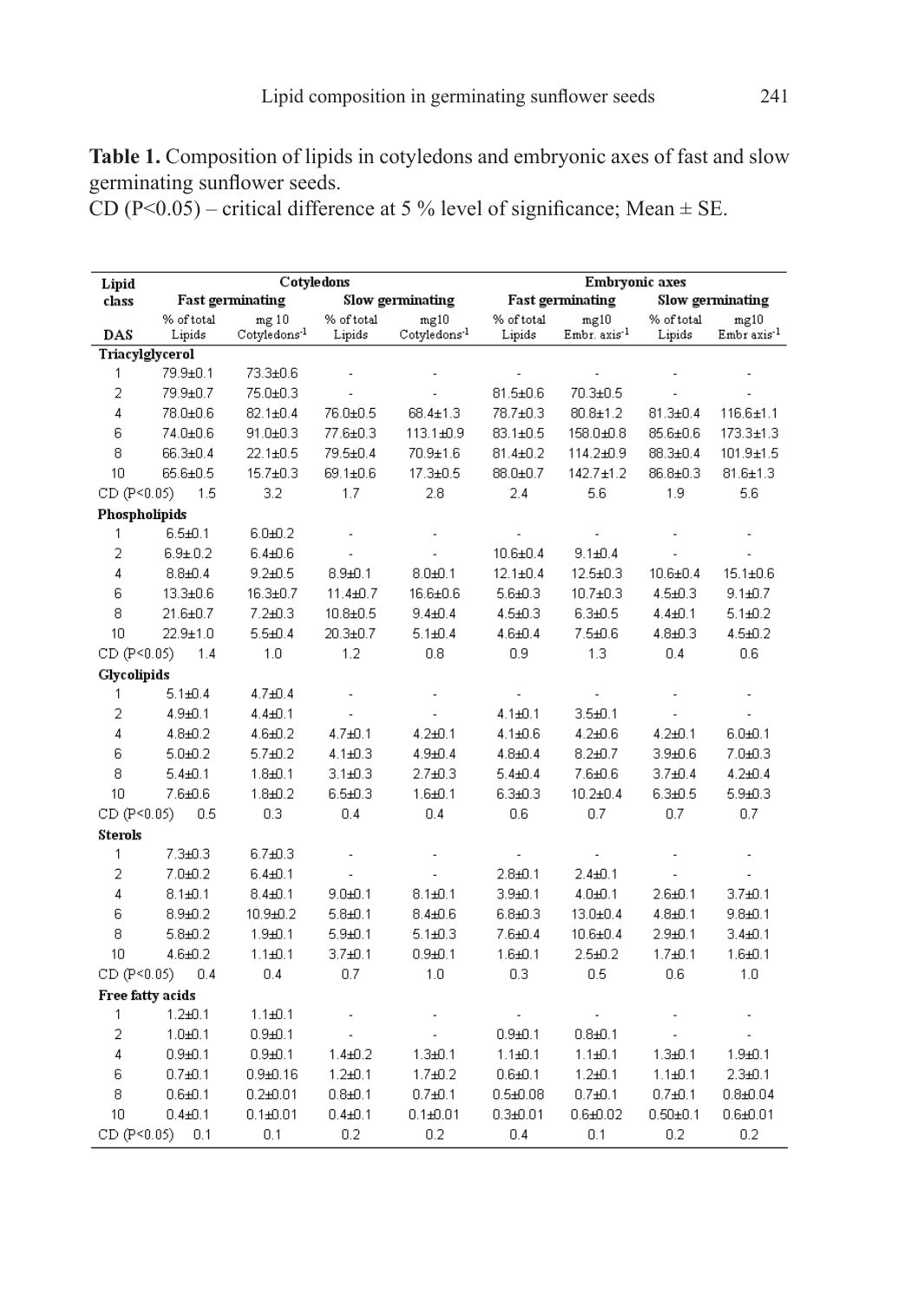**Table 1.** Composition of lipids in cotyledons and embryonic axes of fast and slow germinating sunflower seeds.

CD (P<0.05) – critical difference at 5 % level of significance; Mean  $\pm$  SE.

| Lipid              |                         | Cotyledons               |                  |                          | Embryonic axes          |                          |                  |                         |
|--------------------|-------------------------|--------------------------|------------------|--------------------------|-------------------------|--------------------------|------------------|-------------------------|
| class              | <b>Fast germinating</b> |                          | Slow germinating |                          | <b>Fast germinating</b> |                          | Slow germinating |                         |
|                    | % of total              | mg10                     | % of total       | mg10                     | % of total              | mg10                     | % of total       | mg10                    |
| DAS                | Lipids                  | Cotyledons <sup>-1</sup> | Lipids           | Cotyledons <sup>-1</sup> | Lipids                  | Embr. axis <sup>-1</sup> | Lipids           | Embr axis <sup>-1</sup> |
| Triacylglycerol    |                         |                          |                  |                          |                         |                          |                  |                         |
| 1                  | 79.9±0.1                | 73.3±0.6                 |                  |                          |                         |                          |                  |                         |
| $\overline{2}$     | 79.9±0.7                | 75.0±0.3                 |                  |                          | $81.5 \pm 0.6$          | 70.3±0.5                 |                  |                         |
| 4                  | 78.0±0.6                | $82.1 \pm 0.4$           | 76.0±0.5         | 68.4±1.3                 | 78.7±0.3                | $80.8 + 1.2$             | $81.3 \pm 0.4$   | $116.6 + 1.1$           |
| 6                  | 74.0±0.6                | 91.0±0.3                 | 77.6±0.3         | 113.1±0.9                | $83.1 \pm 0.5$          | 158.0±0.8                | 85.6±0.6         | 173.3±1.3               |
| 8                  | 66.3±0.4                | $22.1 \pm 0.5$           | 79.5±0.4         | 70.9±1.6                 | $81.4 \pm 0.2$          | 114.2±0.9                | $88.3{\pm}0.4$   | $101.9 + 1.5$           |
| 10                 | 65.6±0.5                | $15.7 \pm 0.3$           | 69.1±0.6         | 17.3±0.5                 | 88.0±0.7                | $142.7 \pm 1.2$          | $86.8 \pm 0.3$   | $81.6 \pm 1.3$          |
| CD (P<0.05)        | 1.5                     | 3.2                      | 1.7              | 2.8                      | 2.4                     | 5.6                      | 1.9              | 5.6                     |
| Phospholipids      |                         |                          |                  |                          |                         |                          |                  |                         |
| 1                  | $6.5 + 0.1$             | $6.0 + 0.2$              |                  |                          |                         |                          |                  |                         |
| $\overline{2}$     | $6.9 + 0.2$             | $6.4 + 0.6$              | L,               |                          | $10.6 + 0.4$            | $9.1 + 0.4$              |                  |                         |
| 4                  | $8.8 + 0.4$             | $9.2 + 0.5$              | $8.9 + 0.1$      | $8.0 + 0.1$              | $12.1 \pm 0.4$          | $12.5 \pm 0.3$           | $10.6 + 0.4$     | $15.1 \pm 0.6$          |
| 6                  | 13.3±0.6                | $16.3 \pm 0.7$           | $11.4 + 0.7$     | 16.6±0.6                 | $5.6 + 0.3$             | $10.7 + 0.3$             | $4.5 + 0.3$      | $9.1 + 0.7$             |
| 8                  | 21.6±0.7                | $7.2 + 0.3$              | $10.8 + 0.5$     | $9.4 + 0.4$              | $4.5 + 0.3$             | $6.3 + 0.5$              | $4.4 + 0.1$      | $5.1 + 0.2$             |
| 10                 | $22.9 + 1.0$            | $5.5 + 0.4$              | $20.3 \pm 0.7$   | $5.1 + 0.4$              | $4.6 + 0.4$             | $7.5 + 0.6$              | $4.8 + 0.3$      | $4.5 + 0.2$             |
| CD (P<0.05)        | 1.4                     | 1.0                      | 1.2              | 0.8                      | 0.9                     | 1.3                      | 0.4              | 0.6                     |
| <b>Glycolipids</b> |                         |                          |                  |                          |                         |                          |                  |                         |
| 1                  | $5.1 + 0.4$             | $4.7 + 0.4$              |                  |                          |                         |                          |                  |                         |
| $\overline{2}$     | $4.9 + 0.1$             | 4.4±0.1                  | Ĭ.               | ÷,                       | $4.1 + 0.1$             | $3.5 + 0.1$              |                  |                         |
| 4                  | $4.8 + 0.2$             | $4.6 + 0.2$              | $4.7 + 0.1$      | 4.2±0.1                  | $4.1 + 0.6$             | 4.2±0.6                  | $4.2 + 0.1$      | $6.0 + 0.1$             |
| 6                  | $5.0 + 0.2$             | $5.7 + 0.2$              | $4.1 + 0.3$      | $4.9 + 0.4$              | $4.8 + 0.4$             | $8.2 + 0.7$              | $3.9 + 0.6$      | 7.0±0.3                 |
| 8                  | $5.4 + 0.1$             | $1.8 + 0.1$              | $3.1 + 0.3$      | $2.7 + 0.3$              | $5.4 + 0.4$             | $7.6 + 0.6$              | $3.7 + 0.4$      | $4.2 + 0.4$             |
| 10                 | $7.6 + 0.6$             | $1.8 + 0.2$              | $6.5 + 0.3$      | $1.6 + 0.1$              | $6.3 + 0.3$             | $10.2 + 0.4$             | $6.3 + 0.5$      | $5.9 + 0.3$             |
| CD (P<0.05)        | 0.5                     | 0.3                      | 0.4              | 0.4                      | 0.6                     | 0.7                      | 0.7              | 0.7                     |
| <b>Sterols</b>     |                         |                          |                  |                          |                         |                          |                  |                         |
| 1                  | $7.3 + 0.3$             | $6.7 + 0.3$              |                  |                          |                         |                          |                  |                         |
| $\overline{2}$     | $7.0 + 0.2$             | $6.4 + 0.1$              |                  | ä,                       | $2.8 + 0.1$             | $2.4 + 0.1$              |                  |                         |
| 4                  | $8.1 + 0.1$             | $8.4 + 0.1$              | $9.0 + 0.1$      | $8.1 + 0.1$              | $3.9 + 0.1$             | $4.0 + 0.1$              | $2.6 + 0.1$      | $3.7 + 0.1$             |
| 6                  | $8.9 + 0.2$             | 10.9±0.2                 | $5.8 + 0.1$      | $8.4 + 0.6$              | $6.8 + 0.3$             | $13.0 + 0.4$             | $4.8 + 0.1$      | $9.8 + 0.1$             |
| 8                  | $5.8 + 0.2$             | $1.9 + 0.1$              | $5.9 + 0.1$      | $5.1 + 0.3$              | $7.6 + 0.4$             | $10.6 + 0.4$             | $2.9 + 0.1$      | $3.4 + 0.1$             |
| 10                 | $4.6 + 0.2$             | $1.1 + 0.1$              | $3.7 + 0.1$      | $0.9 + 0.1$              | $1.6 + 0.1$             | $2.5 + 0.2$              | $1.7 + 0.1$      | $1.6 + 0.1$             |
| CD (P<0.05)        | 0.4                     | 0.4                      | 0.7              | 1.0                      | 0.3                     | 0.5                      | 0.6              | 1.0                     |
| Free fatty acids   |                         |                          |                  |                          |                         |                          |                  |                         |
| 1                  | $1.2 + 0.1$             | $1.1 + 0.1$              |                  |                          |                         |                          |                  |                         |
| 2                  | $1.0 + 0.1$             | $0.9 + 0.1$              |                  |                          | $0.9 + 0.1$             | $0.8 + 0.1$              |                  |                         |
| 4                  | $0.9 + 0.1$             | $0.9 + 0.1$              | $1.4 + 0.2$      | $1.3 + 0.1$              | $1.1 + 0.1$             | $1.1 + 0.1$              | $1.3 + 0.1$      | $1.9 + 0.1$             |
| 6                  | $0.7 + 0.1$             | $0.9 + 0.16$             | $1.2 + 0.1$      | $1.7 + 0.2$              | $0.6 + 0.1$             | $1.2 + 0.1$              | $1.1 + 0.1$      | $2.3 + 0.1$             |
| 8                  | $0.6 + 0.1$             | $0.2$ ± $0.01$           | $0.8 + 0.1$      | $0.7 + 0.1$              | $0.5 + 0.08$            | $0.7 + 0.1$              | $0.7 + 0.1$      | $0.8 + 0.04$            |
| 10                 | $0.4 + 0.1$             | $0.1 + 0.01$             | $0.4 + 0.1$      | $0.1 + 0.01$             | $0.3 + 0.01$            | $0.6 + 0.02$             | $0.50 + 0.1$     | $0.6 + 0.01$            |
| CD (P<0.05)        | 0.1                     | 0.1                      | 0.2              | 0.2                      | 0.4                     | 0.1                      | 0.2              | 0.2                     |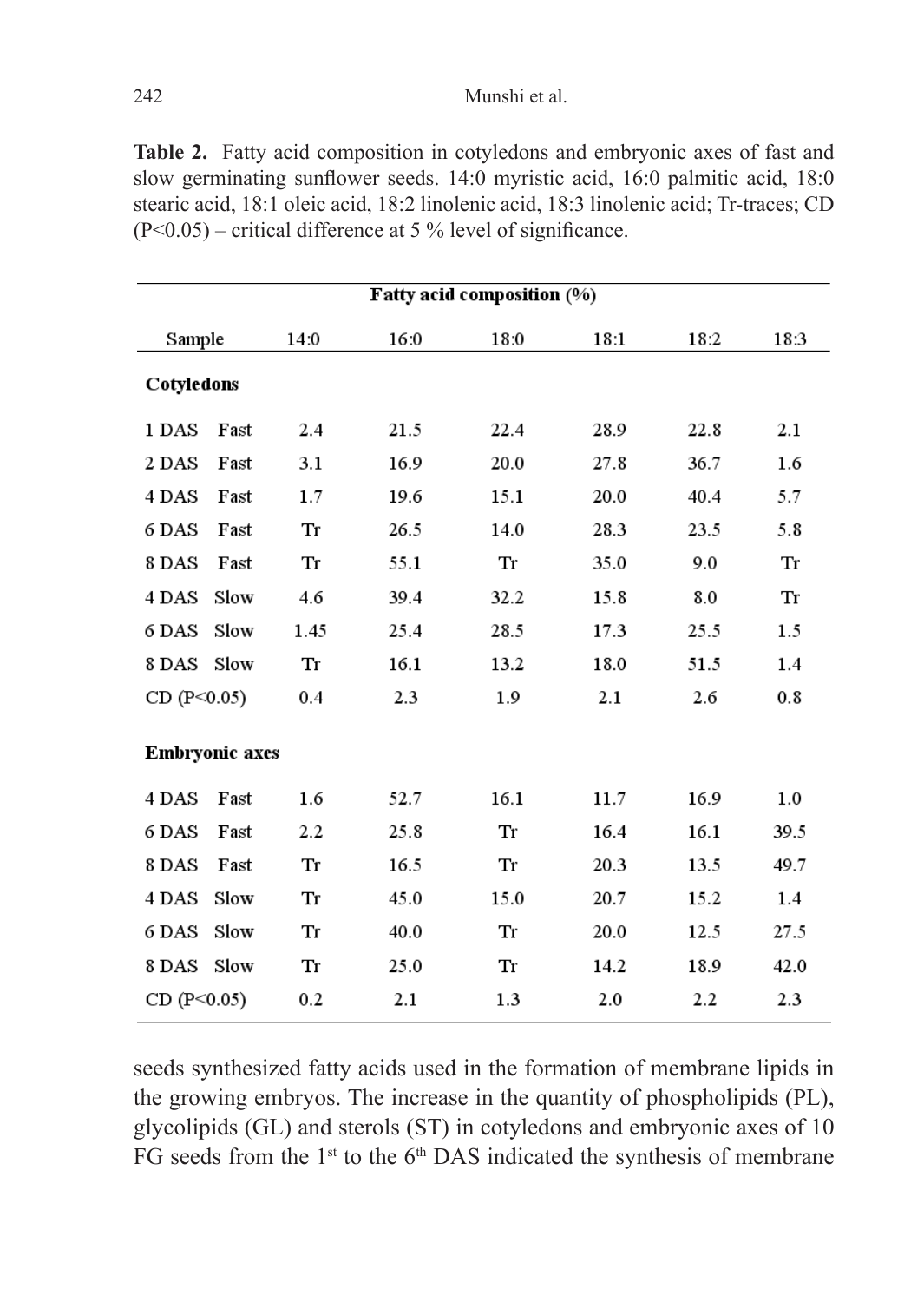**Table 2.** Fatty acid composition in cotyledons and embryonic axes of fast and slow germinating sunflower seeds. 14:0 myristic acid, 16:0 palmitic acid, 18:0 stearic acid, 18:1 oleic acid, 18:2 linolenic acid, 18:3 linolenic acid; Tr-traces; CD  $(P<0.05)$  – critical difference at 5 % level of significance.

| Fatty acid composition (%) |      |      |      |      |      |      |      |  |  |  |  |  |
|----------------------------|------|------|------|------|------|------|------|--|--|--|--|--|
| Sample                     |      | 14:0 | 16:0 | 18:0 | 18:1 | 18:2 | 18:3 |  |  |  |  |  |
| Cotyledons                 |      |      |      |      |      |      |      |  |  |  |  |  |
| 1 DAS                      | Fast | 2.4  | 21.5 | 22.4 | 28.9 | 22.8 | 2.1  |  |  |  |  |  |
| 2 DAS                      | Fast | 3.1  | 16.9 | 20.0 | 27.8 | 36.7 | 1.6  |  |  |  |  |  |
| 4 DAS                      | Fast | 1.7  | 19.6 | 15.1 | 20.0 | 40.4 | 5.7  |  |  |  |  |  |
| 6 DAS                      | Fast | Tr   | 26.5 | 14.0 | 28.3 | 23.5 | 5.8  |  |  |  |  |  |
| 8 DAS                      | Fast | Tr   | 55.1 | Tr   | 35.0 | 9.0  | Tr   |  |  |  |  |  |
| 4 DAS                      | Slow | 4.6  | 39.4 | 32.2 | 15.8 | 8.0  | Tr   |  |  |  |  |  |
| 6 DAS                      | Slow | 1.45 | 25.4 | 28.5 | 17.3 | 25.5 | 1.5  |  |  |  |  |  |
| 8 DAS                      | Slow | Tr   | 16.1 | 13.2 | 18.0 | 51.5 | 1.4  |  |  |  |  |  |
| CD (P<0.05)                |      | 0.4  | 2.3  | 1.9  | 2.1  | 2.6  | 0.8  |  |  |  |  |  |
| <b>Embryonic axes</b>      |      |      |      |      |      |      |      |  |  |  |  |  |
| 4 DAS                      | Fast | 1.6  | 52.7 | 16.1 | 11.7 | 16.9 | 1.0  |  |  |  |  |  |
| 6 DAS                      | Fast | 2.2  | 25.8 | Tr   | 16.4 | 16.1 | 39.5 |  |  |  |  |  |
| 8 DAS                      | Fast | Tr   | 16.5 | Tr   | 20.3 | 13.5 | 49.7 |  |  |  |  |  |
| 4 DAS                      | Slow | Tr   | 45.0 | 15.0 | 20.7 | 15.2 | 1.4  |  |  |  |  |  |
| 6 DAS                      | Slow | Tr   | 40.0 | Tr   | 20.0 | 12.5 | 27.5 |  |  |  |  |  |
| 8 DAS                      | Slow | Tr   | 25.0 | Tr   | 14.2 | 18.9 | 42.0 |  |  |  |  |  |
| CD (P<0.05)                |      | 0.2  | 2.1  | 1.3  | 2.0  | 2.2  | 2.3  |  |  |  |  |  |

seeds synthesized fatty acids used in the formation of membrane lipids in the growing embryos. The increase in the quantity of phospholipids (PL), glycolipids (GL) and sterols (ST) in cotyledons and embryonic axes of 10 FG seeds from the  $1<sup>st</sup>$  to the 6<sup>th</sup> DAS indicated the synthesis of membrane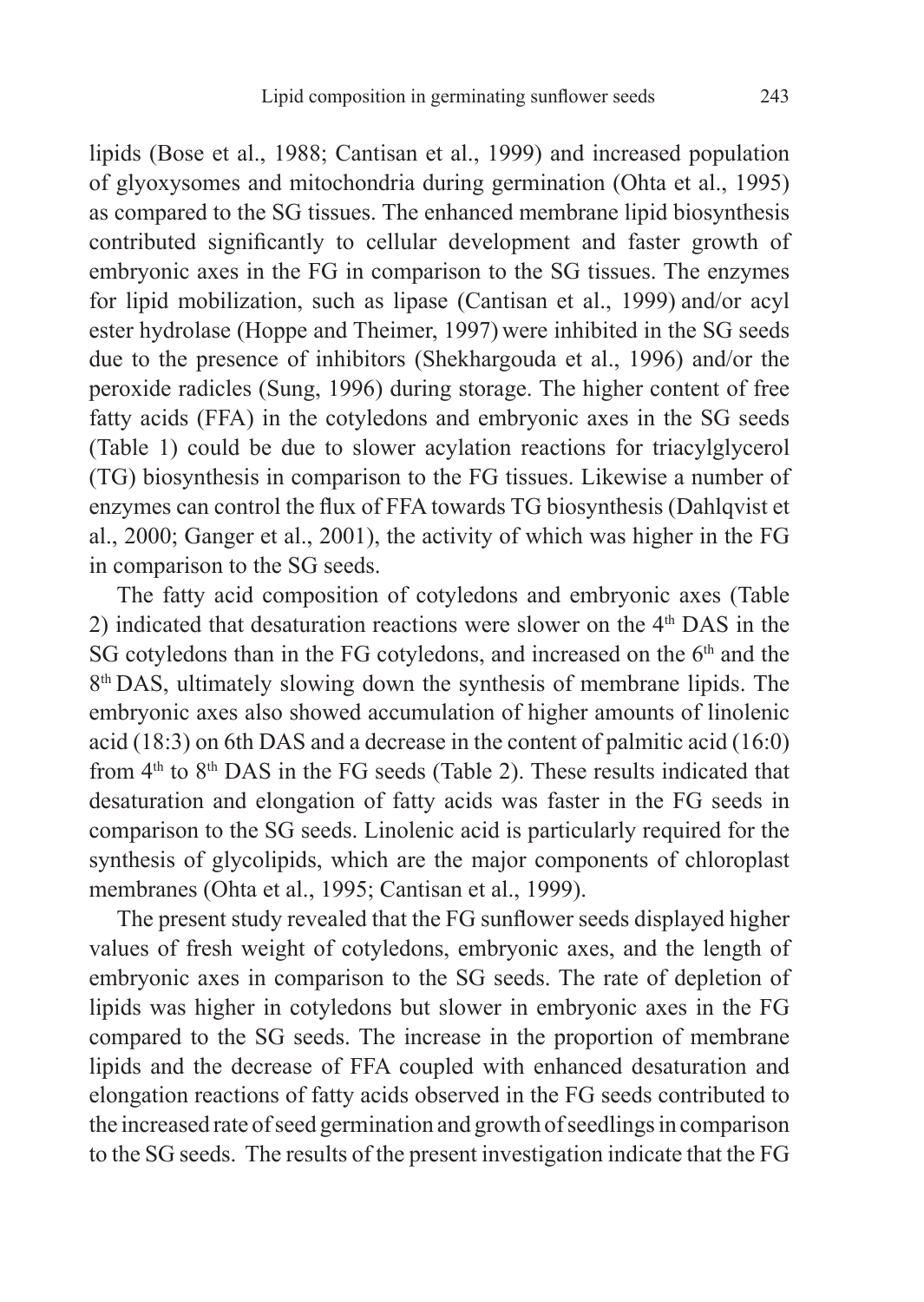lipids (Bose et al., 1988; Cantisan et al., 1999) and increased population of glyoxysomes and mitochondria during germination (Ohta et al., 1995) as compared to the SG tissues. The enhanced membrane lipid biosynthesis contributed significantly to cellular development and faster growth of embryonic axes in the FG in comparison to the SG tissues. The enzymes for lipid mobilization, such as lipase (Cantisan et al., 1999) and/or acyl ester hydrolase (Hoppe and Theimer, 1997) were inhibited in the SG seeds due to the presence of inhibitors (Shekhargouda et al., 1996) and/or the peroxide radicles (Sung, 1996) during storage. The higher content of free fatty acids (FFA) in the cotyledons and embryonic axes in the SG seeds (Table 1) could be due to slower acylation reactions for triacylglycerol (TG) biosynthesis in comparison to the FG tissues. Likewise a number of enzymes can control the flux of FFA towards TG biosynthesis (Dahlqvist et al., 2000; Ganger et al., 2001), the activity of which was higher in the FG in comparison to the SG seeds.

The fatty acid composition of cotyledons and embryonic axes (Table 2) indicated that desaturation reactions were slower on the  $4<sup>th</sup>$  DAS in the SG cotyledons than in the FG cotyledons, and increased on the 6<sup>th</sup> and the 8<sup>th</sup> DAS, ultimately slowing down the synthesis of membrane lipids. The embryonic axes also showed accumulation of higher amounts of linolenic acid (18:3) on 6th DAS and a decrease in the content of palmitic acid (16:0) from  $4<sup>th</sup>$  to  $8<sup>th</sup>$  DAS in the FG seeds (Table 2). These results indicated that desaturation and elongation of fatty acids was faster in the FG seeds in comparison to the SG seeds. Linolenic acid is particularly required for the synthesis of glycolipids, which are the major components of chloroplast membranes (Ohta et al., 1995; Cantisan et al., 1999).

The present study revealed that the FG sunflower seeds displayed higher values of fresh weight of cotyledons, embryonic axes, and the length of embryonic axes in comparison to the SG seeds. The rate of depletion of lipids was higher in cotyledons but slower in embryonic axes in the FG compared to the SG seeds. The increase in the proportion of membrane lipids and the decrease of FFA coupled with enhanced desaturation and elongation reactions of fatty acids observed in the FG seeds contributed to the increased rate of seed germination and growth of seedlings in comparison to the SG seeds. The results of the present investigation indicate that the FG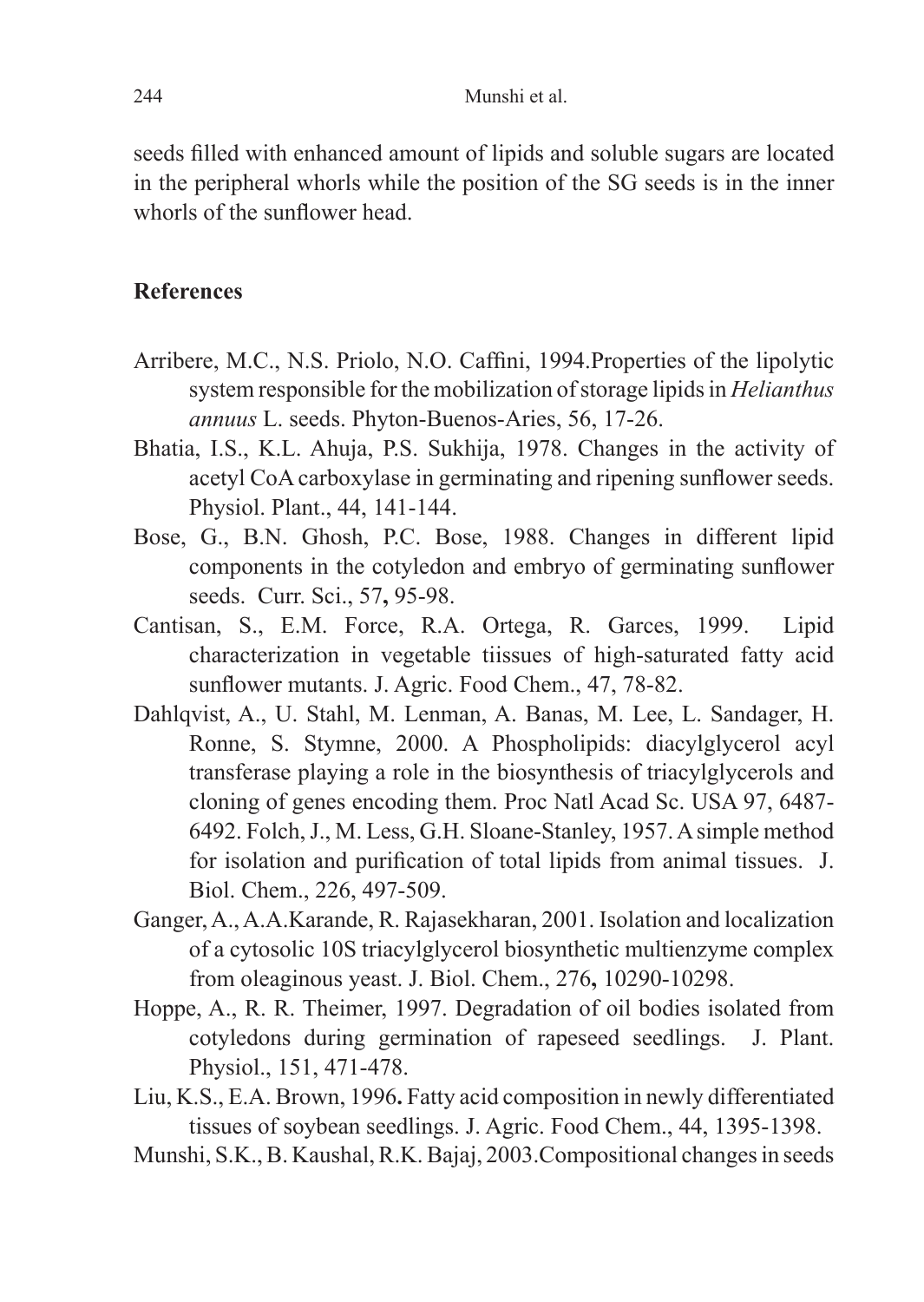seeds filled with enhanced amount of lipids and soluble sugars are located in the peripheral whorls while the position of the SG seeds is in the inner whorls of the sunflower head.

## **References**

- Arribere, M.C., N.S. Priolo, N.O. Caffini, 1994.Properties of the lipolytic system responsible for the mobilization of storage lipids in *Helianthus annuus* L. seeds. Phyton-Buenos-Aries, 56, 17-26.
- Bhatia, I.S., K.L. Ahuja, P.S. Sukhija, 1978. Changes in the activity of acetyl CoA carboxylase in germinating and ripening sunflower seeds. Physiol. Plant., 44, 141-144.
- Bose, G., B.N. Ghosh, P.C. Bose, 1988. Changes in different lipid components in the cotyledon and embryo of germinating sunflower seeds. Curr. Sci., 57**,** 95-98.
- Cantisan, S., E.M. Force, R.A. Ortega, R. Garces, 1999. Lipid characterization in vegetable tiissues of high-saturated fatty acid sunflower mutants. J. Agric. Food Chem., 47, 78-82.
- Dahlqvist, A., U. Stahl, M. Lenman, A. Banas, M. Lee, L. Sandager, H. Ronne, S. Stymne, 2000. A Phospholipids: diacylglycerol acyl transferase playing a role in the biosynthesis of triacylglycerols and cloning of genes encoding them. Proc Natl Acad Sc. USA 97, 6487- 6492. Folch, J., M. Less, G.H. Sloane-Stanley, 1957. A simple method for isolation and purification of total lipids from animal tissues. J. Biol. Chem., 226, 497-509.
- Ganger, A., A.A.Karande, R. Rajasekharan, 2001. Isolation and localization of a cytosolic 10S triacylglycerol biosynthetic multienzyme complex from oleaginous yeast. J. Biol. Chem., 276**,** 10290-10298.
- Hoppe, A., R. R. Theimer, 1997. Degradation of oil bodies isolated from cotyledons during germination of rapeseed seedlings. J. Plant. Physiol., 151, 471-478.
- Liu, K.S., E.A. Brown, 1996**.** Fatty acid composition in newly differentiated tissues of soybean seedlings. J. Agric. Food Chem., 44, 1395-1398.
- Munshi, S.K., B. Kaushal, R.K. Bajaj, 2003.Compositional changes in seeds